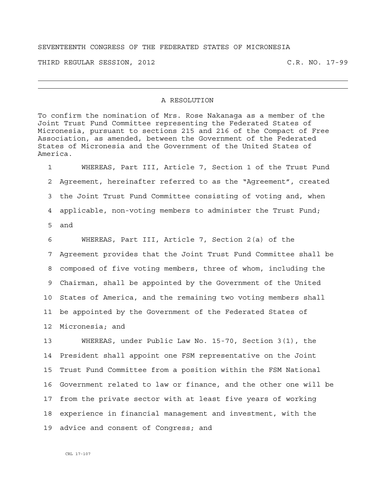## SEVENTEENTH CONGRESS OF THE FEDERATED STATES OF MICRONESIA

THIRD REGULAR SESSION, 2012 C.R. NO. 17-99

## A RESOLUTION

To confirm the nomination of Mrs. Rose Nakanaga as a member of the Joint Trust Fund Committee representing the Federated States of Micronesia, pursuant to sections 215 and 216 of the Compact of Free Association, as amended, between the Government of the Federated States of Micronesia and the Government of the United States of America.

1 WHEREAS, Part III, Article 7, Section 1 of the Trust Fund 2 Agreement, hereinafter referred to as the "Agreement", created 3 the Joint Trust Fund Committee consisting of voting and, when 4 applicable, non-voting members to administer the Trust Fund; 5 and

6 WHEREAS, Part III, Article 7, Section 2(a) of the 7 Agreement provides that the Joint Trust Fund Committee shall be 8 composed of five voting members, three of whom, including the 9 Chairman, shall be appointed by the Government of the United 10 States of America, and the remaining two voting members shall 11 be appointed by the Government of the Federated States of 12 Micronesia; and

13 WHEREAS, under Public Law No. 15-70, Section 3(1), the 14 President shall appoint one FSM representative on the Joint 15 Trust Fund Committee from a position within the FSM National 16 Government related to law or finance, and the other one will be 17 from the private sector with at least five years of working 18 experience in financial management and investment, with the 19 advice and consent of Congress; and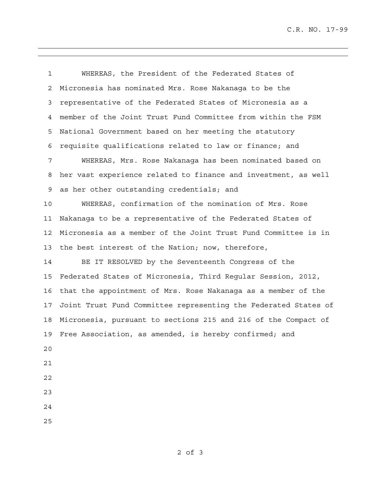C.R. NO. 17-99

1 WHEREAS, the President of the Federated States of 2 Micronesia has nominated Mrs. Rose Nakanaga to be the 3 representative of the Federated States of Micronesia as a 4 member of the Joint Trust Fund Committee from within the FSM 5 National Government based on her meeting the statutory 6 requisite qualifications related to law or finance; and 7 WHEREAS, Mrs. Rose Nakanaga has been nominated based on 8 her vast experience related to finance and investment, as well 9 as her other outstanding credentials; and 10 WHEREAS, confirmation of the nomination of Mrs. Rose 11 Nakanaga to be a representative of the Federated States of 12 Micronesia as a member of the Joint Trust Fund Committee is in 13 the best interest of the Nation; now, therefore, 14 BE IT RESOLVED by the Seventeenth Congress of the 15 Federated States of Micronesia, Third Regular Session, 2012, 16 that the appointment of Mrs. Rose Nakanaga as a member of the 17 Joint Trust Fund Committee representing the Federated States of 18 Micronesia, pursuant to sections 215 and 216 of the Compact of 19 Free Association, as amended, is hereby confirmed; and 20 21 22 23 24 25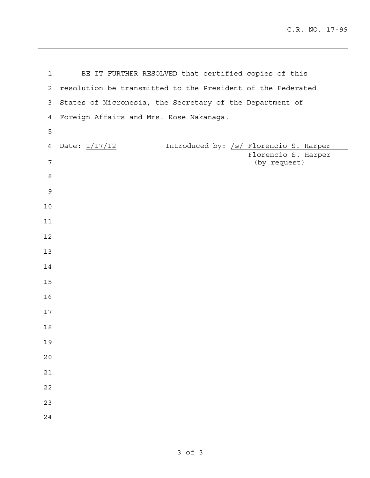| $\mathbf 1$    | BE IT FURTHER RESOLVED that certified copies of this        |
|----------------|-------------------------------------------------------------|
| 2              | resolution be transmitted to the President of the Federated |
| 3              | States of Micronesia, the Secretary of the Department of    |
| $\overline{4}$ | Foreign Affairs and Mrs. Rose Nakanaga.                     |
| 5              |                                                             |
| 6              | Introduced by: /s/ Florencio S. Harper<br>Date: 1/17/12     |
| $\overline{7}$ | Florencio S. Harper<br>(by request)                         |
| 8              |                                                             |
| 9              |                                                             |
| 10             |                                                             |
| 11             |                                                             |
| 12             |                                                             |
| 13             |                                                             |
| 14             |                                                             |
| 15             |                                                             |
| 16             |                                                             |
| 17             |                                                             |
| 18             |                                                             |
| 19             |                                                             |
| 20             |                                                             |
| $2\,1$         |                                                             |
| 22             |                                                             |
| 23             |                                                             |
| 24             |                                                             |